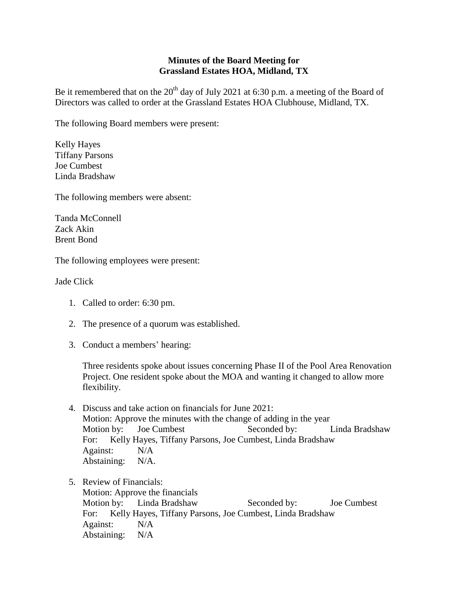## **Minutes of the Board Meeting for Grassland Estates HOA, Midland, TX**

Be it remembered that on the  $20<sup>th</sup>$  day of July 2021 at 6:30 p.m. a meeting of the Board of Directors was called to order at the Grassland Estates HOA Clubhouse, Midland, TX.

The following Board members were present:

Kelly Hayes Tiffany Parsons Joe Cumbest Linda Bradshaw

The following members were absent:

Tanda McConnell Zack Akin Brent Bond

The following employees were present:

Jade Click

- 1. Called to order: 6:30 pm.
- 2. The presence of a quorum was established.
- 3. Conduct a members' hearing:

Three residents spoke about issues concerning Phase II of the Pool Area Renovation Project. One resident spoke about the MOA and wanting it changed to allow more flexibility.

- 4. Discuss and take action on financials for June 2021: Motion: Approve the minutes with the change of adding in the year Motion by: Joe Cumbest Seconded by: Linda Bradshaw For: Kelly Hayes, Tiffany Parsons, Joe Cumbest, Linda Bradshaw Against: N/A Abstaining: N/A.
- 5. Review of Financials: Motion: Approve the financials Motion by: Linda Bradshaw Seconded by: Joe Cumbest For: Kelly Hayes, Tiffany Parsons, Joe Cumbest, Linda Bradshaw Against: N/A Abstaining: N/A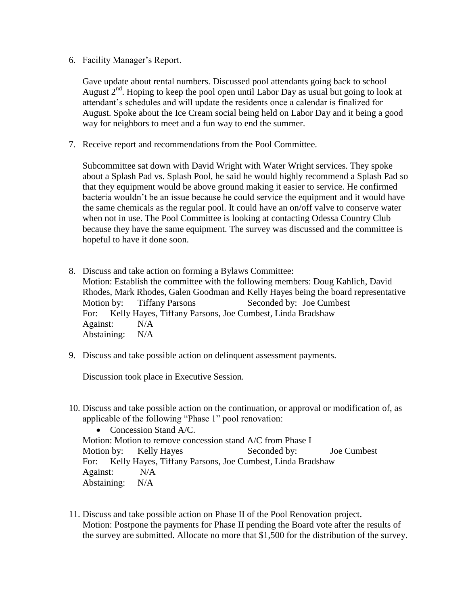6. Facility Manager's Report.

Gave update about rental numbers. Discussed pool attendants going back to school August  $2<sup>nd</sup>$ . Hoping to keep the pool open until Labor Day as usual but going to look at attendant's schedules and will update the residents once a calendar is finalized for August. Spoke about the Ice Cream social being held on Labor Day and it being a good way for neighbors to meet and a fun way to end the summer.

7. Receive report and recommendations from the Pool Committee.

Subcommittee sat down with David Wright with Water Wright services. They spoke about a Splash Pad vs. Splash Pool, he said he would highly recommend a Splash Pad so that they equipment would be above ground making it easier to service. He confirmed bacteria wouldn't be an issue because he could service the equipment and it would have the same chemicals as the regular pool. It could have an on/off valve to conserve water when not in use. The Pool Committee is looking at contacting Odessa Country Club because they have the same equipment. The survey was discussed and the committee is hopeful to have it done soon.

- 8. Discuss and take action on forming a Bylaws Committee: Motion: Establish the committee with the following members: Doug Kahlich, David Rhodes, Mark Rhodes, Galen Goodman and Kelly Hayes being the board representative Motion by: Tiffany Parsons Seconded by: Joe Cumbest For: Kelly Hayes, Tiffany Parsons, Joe Cumbest, Linda Bradshaw Against: N/A Abstaining: N/A
- 9. Discuss and take possible action on delinquent assessment payments.

Discussion took place in Executive Session.

10. Discuss and take possible action on the continuation, or approval or modification of, as applicable of the following "Phase 1" pool renovation:

• Concession Stand A/C. Motion: Motion to remove concession stand A/C from Phase I Motion by: Kelly Hayes Seconded by: Joe Cumbest For: Kelly Hayes, Tiffany Parsons, Joe Cumbest, Linda Bradshaw Against: N/A Abstaining: N/A

11. Discuss and take possible action on Phase II of the Pool Renovation project. Motion: Postpone the payments for Phase II pending the Board vote after the results of the survey are submitted. Allocate no more that \$1,500 for the distribution of the survey.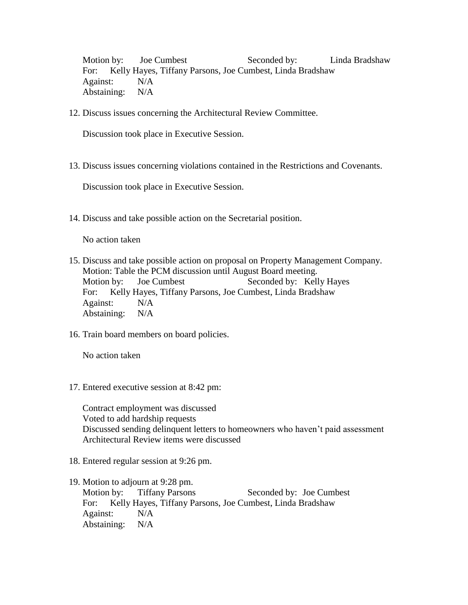Motion by: Joe Cumbest Seconded by: Linda Bradshaw For: Kelly Hayes, Tiffany Parsons, Joe Cumbest, Linda Bradshaw Against: N/A Abstaining: N/A

12. Discuss issues concerning the Architectural Review Committee.

Discussion took place in Executive Session.

13. Discuss issues concerning violations contained in the Restrictions and Covenants.

Discussion took place in Executive Session.

14. Discuss and take possible action on the Secretarial position.

No action taken

- 15. Discuss and take possible action on proposal on Property Management Company. Motion: Table the PCM discussion until August Board meeting. Motion by: Joe Cumbest Seconded by: Kelly Hayes For: Kelly Hayes, Tiffany Parsons, Joe Cumbest, Linda Bradshaw Against: N/A Abstaining: N/A
- 16. Train board members on board policies.

No action taken

17. Entered executive session at 8:42 pm:

Contract employment was discussed Voted to add hardship requests Discussed sending delinquent letters to homeowners who haven't paid assessment Architectural Review items were discussed

- 18. Entered regular session at 9:26 pm.
- 19. Motion to adjourn at 9:28 pm. Motion by: Tiffany Parsons Seconded by: Joe Cumbest For: Kelly Hayes, Tiffany Parsons, Joe Cumbest, Linda Bradshaw Against: N/A Abstaining: N/A